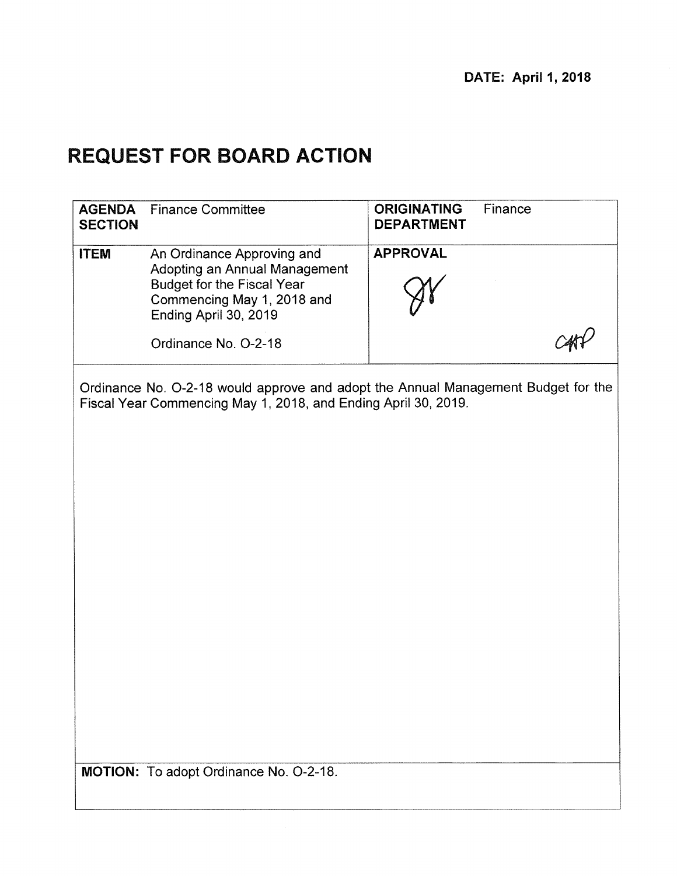# **REQUEST FOR BOARD ACTION**

| <b>AGENDA</b><br><b>SECTION</b> | <b>Finance Committee</b>                                                                                                                                | Finance<br><b>ORIGINATING</b><br><b>DEPARTMENT</b>                                |
|---------------------------------|---------------------------------------------------------------------------------------------------------------------------------------------------------|-----------------------------------------------------------------------------------|
| <b>ITEM</b>                     | An Ordinance Approving and<br>Adopting an Annual Management<br><b>Budget for the Fiscal Year</b><br>Commencing May 1, 2018 and<br>Ending April 30, 2019 | <b>APPROVAL</b>                                                                   |
|                                 | Ordinance No. O-2-18                                                                                                                                    |                                                                                   |
|                                 | Fiscal Year Commencing May 1, 2018, and Ending April 30, 2019.                                                                                          | Ordinance No. O-2-18 would approve and adopt the Annual Management Budget for the |
|                                 | MOTION: To adopt Ordinance No. O-2-18.                                                                                                                  |                                                                                   |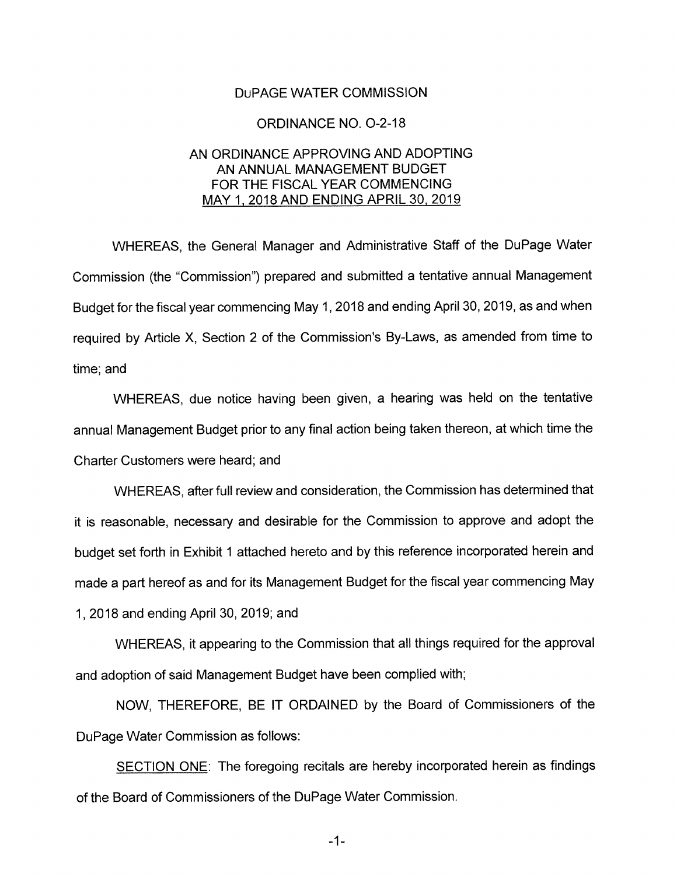#### DuPAGE WATER COMMISSION

#### ORDINANCE NO. 0-2-18

#### AN ORDINANCE APPROVING AND ADOPTING AN ANNUAL MANAGEMENT BUDGET FOR THE FISCAL YEAR COMMENCING MAY 1, 2018 AND ENDING APRIL 30, 2019

WHEREAS, the General Manager and Administrative Staff of the DuPage Water Commission (the "Commission") prepared and submitted a tentative annual Management Budget for the fiscal year commencing May 1, 2018 and ending April 30, 2019, as and when required by Article X, Section 2 of the Commission's By-Laws, as amended from time to time; and

WHEREAS, due notice having been given, a hearing was held on the tentative annual Management Budget prior to any final action being taken thereon, at which time the Charter Customers were heard; and

WHEREAS, after full review and consideration, the Commission has determined that it is reasonable, necessary and desirable for the Commission to approve and adopt the budget set forth in Exhibit 1 attached hereto and by this reference incorporated herein and made a part hereof as and for its Management Budget for the fiscal year commencing May 1, 2018 and ending April 30, 2019; and

WHEREAS, it appearing to the Commission that all things required for the approval and adoption of said Management Budget have been complied with;

NOW, THEREFORE, BE IT ORDAINED by the Board of Commissioners of the DuPage Water Commission as follows:

SECTION ONE: The foregoing recitals are hereby incorporated herein as findings of the Board of Commissioners of the DuPage Water Commission.

 $-1-$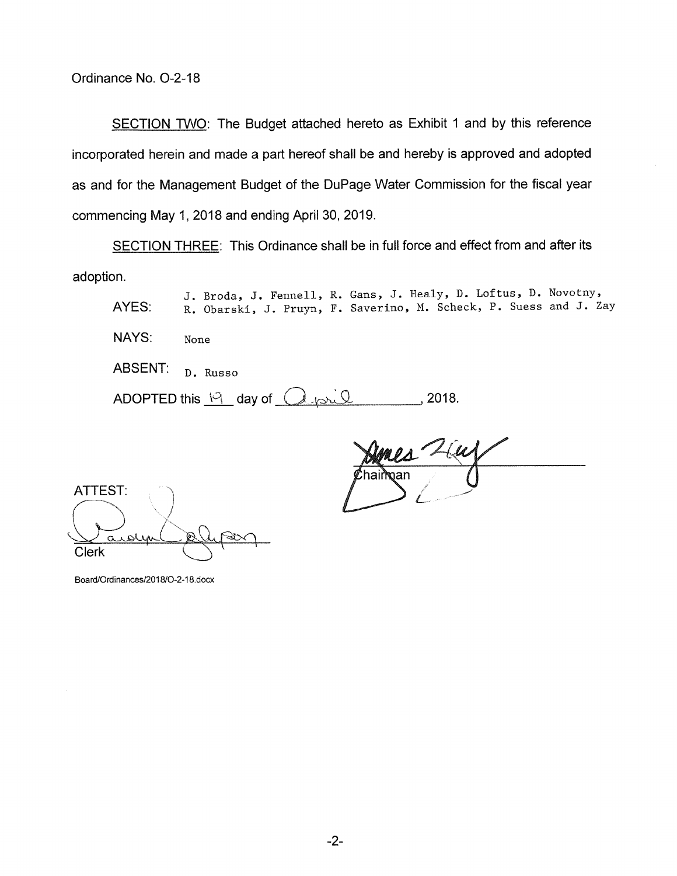SECTION TWO: The Budget attached hereto as Exhibit 1 and by this reference incorporated herein and made a part hereof shall be and hereby is approved and adopted as and for the Management Budget of the DuPage Water Commission for the fiscal year commencing May 1, 2018 and ending April 30, 2019.

SECTION THREE: This Ordinance shall be in full force and effect from and after its adoption.

J. Broda, J. Fennell, R. Gans, J. Healy, D. Loftus, D. Novotny, AYES: R. Obarski, J. Pruyn, F. Saverino, M. Scheck, P. Suess and J. Zay NAYS: None ABSENT: D. Russo ADOPTED this  $\frac{19}{1}$  day of  $(1\omega)\sqrt{1-\omega^2}$ , 2018.

 $\rho_{A}$   $\angle{\mu}$ ?h !ai ran

ATTEST: Clerk audien de la pour

Board/Ordinances/2018/O-2-18.docx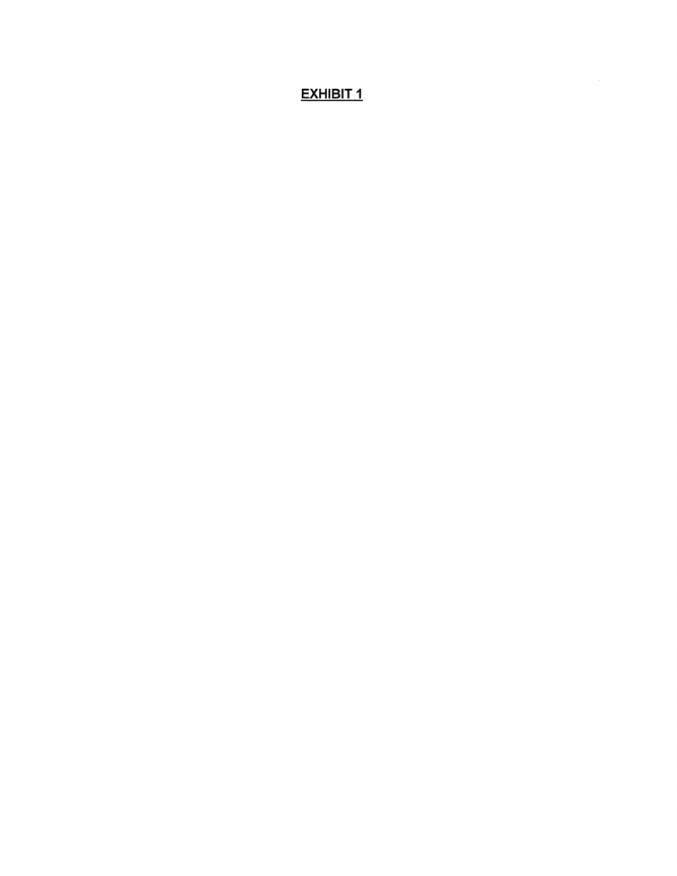# **EXHIBIT 1**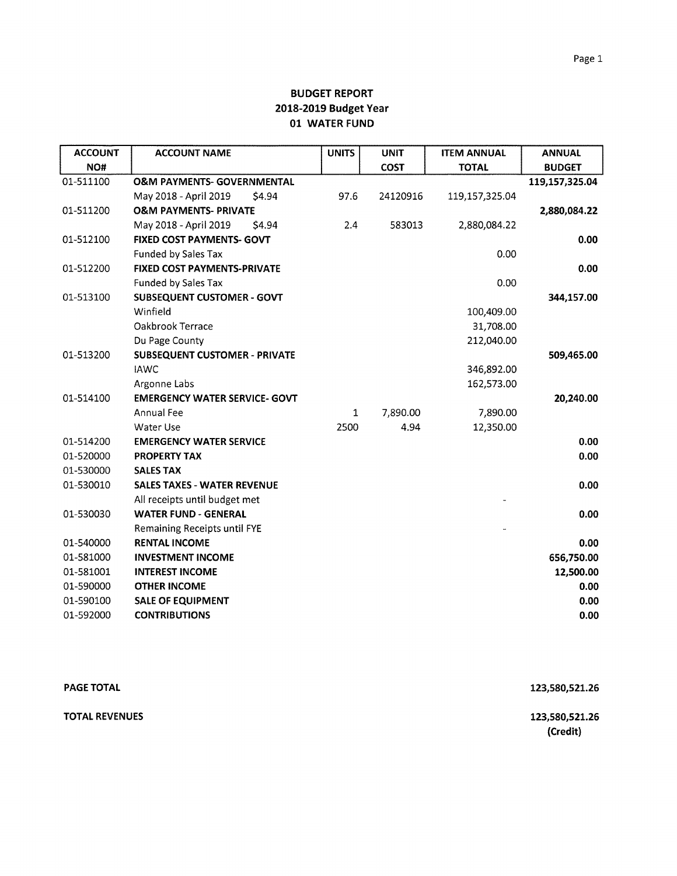| <b>ACCOUNT</b> | <b>ACCOUNT NAME</b>                   | <b>UNITS</b> | <b>UNIT</b> | <b>ITEM ANNUAL</b> | <b>ANNUAL</b>  |
|----------------|---------------------------------------|--------------|-------------|--------------------|----------------|
| NO#            |                                       |              | <b>COST</b> | <b>TOTAL</b>       | <b>BUDGET</b>  |
| 01-511100      | <b>O&amp;M PAYMENTS- GOVERNMENTAL</b> |              |             |                    | 119,157,325.04 |
|                | May 2018 - April 2019<br>\$4.94       | 97.6         | 24120916    | 119,157,325.04     |                |
| 01-511200      | <b>O&amp;M PAYMENTS- PRIVATE</b>      |              |             |                    | 2,880,084.22   |
|                | May 2018 - April 2019<br>\$4.94       | 2.4          | 583013      | 2,880,084.22       |                |
| 01-512100      | <b>FIXED COST PAYMENTS- GOVT</b>      |              |             |                    | 0.00           |
|                | Funded by Sales Tax                   |              |             | 0.00               |                |
| 01-512200      | FIXED COST PAYMENTS-PRIVATE           |              |             |                    | 0.00           |
|                | Funded by Sales Tax                   |              |             | 0.00               |                |
| 01-513100      | <b>SUBSEQUENT CUSTOMER - GOVT</b>     |              |             |                    | 344,157.00     |
|                | Winfield                              |              |             | 100,409.00         |                |
|                | Oakbrook Terrace                      |              |             | 31,708.00          |                |
|                | Du Page County                        |              |             | 212,040.00         |                |
| 01-513200      | <b>SUBSEQUENT CUSTOMER - PRIVATE</b>  |              |             |                    | 509,465.00     |
|                | <b>IAWC</b>                           |              |             | 346,892.00         |                |
|                | Argonne Labs                          |              |             | 162,573.00         |                |
| 01-514100      | <b>EMERGENCY WATER SERVICE- GOVT</b>  |              |             |                    | 20,240.00      |
|                | Annual Fee                            | $\mathbf{1}$ | 7,890.00    | 7,890.00           |                |
|                | Water Use                             | 2500         | 4.94        | 12,350.00          |                |
| 01-514200      | <b>EMERGENCY WATER SERVICE</b>        |              |             |                    | 0.00           |
| 01-520000      | <b>PROPERTY TAX</b>                   |              |             |                    | 0.00           |
| 01-530000      | <b>SALES TAX</b>                      |              |             |                    |                |
| 01-530010      | <b>SALES TAXES - WATER REVENUE</b>    |              |             |                    | 0.00           |
|                | All receipts until budget met         |              |             |                    |                |
| 01-530030      | <b>WATER FUND - GENERAL</b>           |              |             |                    | 0.00           |
|                | <b>Remaining Receipts until FYE</b>   |              |             |                    |                |
| 01-540000      | <b>RENTAL INCOME</b>                  |              |             |                    | 0.00           |
| 01-581000      | <b>INVESTMENT INCOME</b>              |              |             |                    | 656,750.00     |
| 01-581001      | <b>INTEREST INCOME</b>                |              |             |                    | 12,500.00      |
| 01-590000      | <b>OTHER INCOME</b>                   |              |             |                    | 0.00           |
| 01-590100      | <b>SALE OF EQUIPMENT</b>              |              |             |                    | 0.00           |
| 01-592000      | <b>CONTRIBUTIONS</b>                  |              |             |                    | 0.00           |

| <b>PAGE TOTAL</b> | 123,580,521.26             |
|-------------------|----------------------------|
| TOTAL REVENUES    | 123,580,521.26<br>(Credit) |
|                   |                            |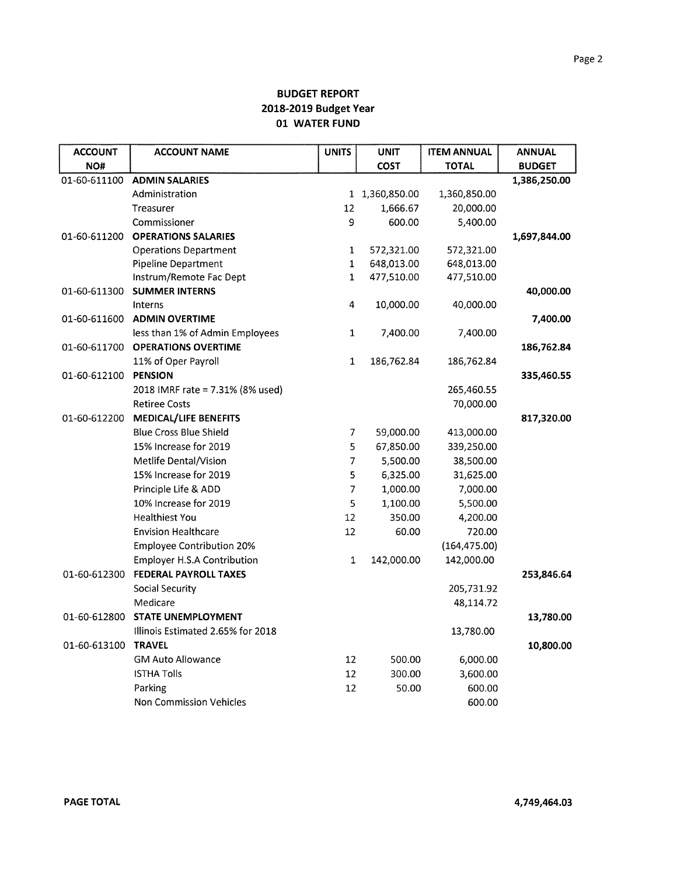| <b>ACCOUNT</b> | <b>ACCOUNT NAME</b>                | <b>UNITS</b> | <b>UNIT</b>    | <b>ITEM ANNUAL</b> | <b>ANNUAL</b> |
|----------------|------------------------------------|--------------|----------------|--------------------|---------------|
| NO#            |                                    |              | <b>COST</b>    | <b>TOTAL</b>       | <b>BUDGET</b> |
| 01-60-611100   | <b>ADMIN SALARIES</b>              |              |                |                    | 1,386,250.00  |
|                | Administration                     |              | 1 1,360,850.00 | 1,360,850.00       |               |
|                | Treasurer                          | 12           | 1,666.67       | 20,000.00          |               |
|                | Commissioner                       | 9            | 600.00         | 5,400.00           |               |
| 01-60-611200   | <b>OPERATIONS SALARIES</b>         |              |                |                    | 1,697,844.00  |
|                | <b>Operations Department</b>       | $\mathbf 1$  | 572,321.00     | 572,321.00         |               |
|                | Pipeline Department                | $\mathbf 1$  | 648,013.00     | 648,013.00         |               |
|                | Instrum/Remote Fac Dept            | 1            | 477,510.00     | 477,510.00         |               |
| 01-60-611300   | <b>SUMMER INTERNS</b>              |              |                |                    | 40,000.00     |
|                | Interns                            | 4            | 10,000.00      | 40,000.00          |               |
| 01-60-611600   | <b>ADMIN OVERTIME</b>              |              |                |                    | 7,400.00      |
|                | less than 1% of Admin Employees    | 1            | 7,400.00       | 7,400.00           |               |
| 01-60-611700   | <b>OPERATIONS OVERTIME</b>         |              |                |                    | 186,762.84    |
|                | 11% of Oper Payroll                | $\mathbf{1}$ | 186,762.84     | 186,762.84         |               |
| 01-60-612100   | <b>PENSION</b>                     |              |                |                    | 335,460.55    |
|                | 2018 IMRF rate = 7.31% (8% used)   |              |                | 265,460.55         |               |
|                | <b>Retiree Costs</b>               |              |                | 70,000.00          |               |
| 01-60-612200   | <b>MEDICAL/LIFE BENEFITS</b>       |              |                |                    | 817,320.00    |
|                | <b>Blue Cross Blue Shield</b>      | 7            | 59,000.00      | 413,000.00         |               |
|                | 15% Increase for 2019              | 5            | 67,850.00      | 339,250.00         |               |
|                | Metlife Dental/Vision              | 7            | 5,500.00       | 38,500.00          |               |
|                | 15% Increase for 2019              | 5            | 6,325.00       | 31,625.00          |               |
|                | Principle Life & ADD               | 7            | 1,000.00       | 7,000.00           |               |
|                | 10% Increase for 2019              | 5            | 1,100.00       | 5,500.00           |               |
|                | <b>Healthiest You</b>              | 12           | 350.00         | 4,200.00           |               |
|                | <b>Envision Healthcare</b>         | 12           | 60.00          | 720.00             |               |
|                | <b>Employee Contribution 20%</b>   |              |                | (164, 475.00)      |               |
|                | <b>Employer H.S.A Contribution</b> | $\mathbf{1}$ | 142,000.00     | 142,000.00         |               |
| 01-60-612300   | <b>FEDERAL PAYROLL TAXES</b>       |              |                |                    | 253,846.64    |
|                | Social Security                    |              |                | 205,731.92         |               |
|                | Medicare                           |              |                | 48,114.72          |               |
| 01-60-612800   | <b>STATE UNEMPLOYMENT</b>          |              |                |                    | 13,780.00     |
|                | Illinois Estimated 2.65% for 2018  |              |                | 13,780.00          |               |
| 01-60-613100   | <b>TRAVEL</b>                      |              |                |                    | 10,800.00     |
|                | <b>GM Auto Allowance</b>           | 12           | 500.00         | 6,000.00           |               |
|                | <b>ISTHA Tolls</b>                 | 12           | 300.00         | 3,600.00           |               |
|                | Parking                            | 12           | 50.00          | 600.00             |               |
|                | <b>Non Commission Vehicles</b>     |              |                | 600.00             |               |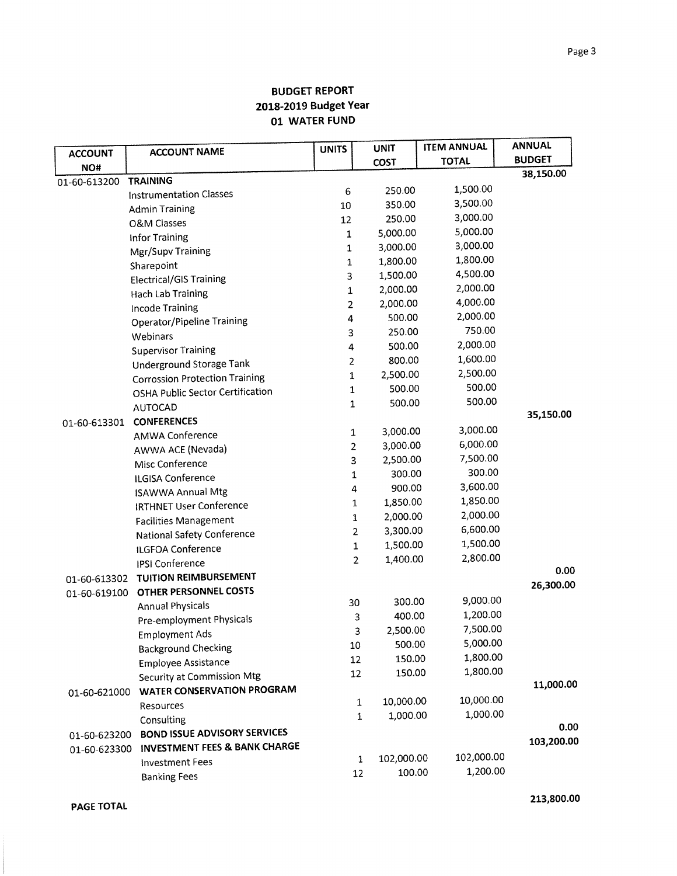|                |                                                                           | <b>UNITS</b>   | <b>UNIT</b> | <b>ITEM ANNUAL</b> | <b>ANNUAL</b> |
|----------------|---------------------------------------------------------------------------|----------------|-------------|--------------------|---------------|
| <b>ACCOUNT</b> | <b>ACCOUNT NAME</b>                                                       |                | <b>COST</b> | <b>TOTAL</b>       | <b>BUDGET</b> |
| NO#            | <b>TRAINING</b>                                                           |                |             |                    | 38,150.00     |
| 01-60-613200   | <b>Instrumentation Classes</b>                                            | 6              | 250.00      | 1,500.00           |               |
|                |                                                                           | 10             | 350.00      | 3,500.00           |               |
|                | <b>Admin Training</b>                                                     | 12             | 250.00      | 3,000.00           |               |
|                | <b>O&amp;M Classes</b>                                                    | $\mathbf 1$    | 5,000.00    | 5,000.00           |               |
|                | <b>Infor Training</b>                                                     | 1              | 3,000.00    | 3,000.00           |               |
|                | Mgr/Supv Training                                                         | 1              | 1,800.00    | 1,800.00           |               |
|                | Sharepoint                                                                | 3              | 1,500.00    | 4,500.00           |               |
|                | <b>Electrical/GIS Training</b>                                            | 1              | 2,000.00    | 2,000.00           |               |
|                | <b>Hach Lab Training</b>                                                  | $\overline{2}$ | 2,000.00    | 4,000.00           |               |
|                | Incode Training                                                           | 4              | 500.00      | 2,000.00           |               |
|                | <b>Operator/Pipeline Training</b>                                         | 3              | 250.00      | 750.00             |               |
|                | Webinars                                                                  | 4              | 500.00      | 2,000.00           |               |
|                | <b>Supervisor Training</b>                                                | $\overline{a}$ | 800.00      | 1,600.00           |               |
|                | <b>Underground Storage Tank</b>                                           | $\mathbf 1$    | 2,500.00    | 2,500.00           |               |
|                | <b>Corrossion Protection Training</b><br>OSHA Public Sector Certification | 1              | 500.00      | 500.00             |               |
|                |                                                                           | $\mathbf 1$    | 500.00      | 500.00             |               |
|                | <b>AUTOCAD</b>                                                            |                |             |                    | 35,150.00     |
| 01-60-613301   | <b>CONFERENCES</b>                                                        | 1              | 3,000.00    | 3,000.00           |               |
|                | <b>AMWA Conference</b>                                                    | 2              | 3,000.00    | 6,000.00           |               |
|                | AWWA ACE (Nevada)                                                         | 3              | 2,500.00    | 7,500.00           |               |
|                | Misc Conference                                                           | 1              | 300.00      | 300.00             |               |
|                | ILGISA Conference                                                         | 4              | 900.00      | 3,600.00           |               |
|                | <b>ISAWWA Annual Mtg</b>                                                  | 1              | 1,850.00    | 1,850.00           |               |
|                | <b>IRTHNET User Conference</b>                                            | 1              | 2,000.00    | 2,000.00           |               |
|                | <b>Facilities Management</b>                                              | 2              | 3,300.00    | 6,600.00           |               |
|                | National Safety Conference                                                | 1              | 1,500.00    | 1,500.00           |               |
|                | ILGFOA Conference                                                         | $\overline{2}$ | 1,400.00    | 2,800.00           |               |
|                | <b>IPSI Conference</b>                                                    |                |             |                    | 0.00          |
| 01-60-613302   | <b>TUITION REIMBURSEMENT</b>                                              |                |             |                    | 26,300.00     |
| 01-60-619100   | OTHER PERSONNEL COSTS                                                     | 30             | 300.00      | 9,000.00           |               |
|                | <b>Annual Physicals</b>                                                   | 3              | 400.00      | 1,200.00           |               |
|                | Pre-employment Physicals                                                  | 3              | 2,500.00    | 7,500.00           |               |
|                | <b>Employment Ads</b>                                                     | 10             | 500.00      | 5,000.00           |               |
|                | <b>Background Checking</b>                                                | 12             | 150.00      | 1,800.00           |               |
|                | <b>Employee Assistance</b>                                                | 12             | 150.00      | 1,800.00           |               |
|                | Security at Commission Mtg                                                |                |             |                    | 11,000.00     |
| 01-60-621000   | <b>WATER CONSERVATION PROGRAM</b>                                         | $\mathbf 1$    | 10,000.00   | 10,000.00          |               |
|                | Resources                                                                 | $\mathbf{1}$   | 1,000.00    | 1,000.00           |               |
|                | Consulting                                                                |                |             |                    | 0.00          |
| 01-60-623200   | <b>BOND ISSUE ADVISORY SERVICES</b>                                       |                |             |                    | 103,200.00    |
| 01-60-623300   | INVESTMENT FEES & BANK CHARGE                                             | $\mathbf 1$    | 102,000.00  | 102,000.00         |               |
|                | <b>Investment Fees</b>                                                    | 12             | 100.00      | 1,200.00           |               |
|                | <b>Banking Fees</b>                                                       |                |             |                    |               |

**PAGE TOTAL** 

**213,800.00**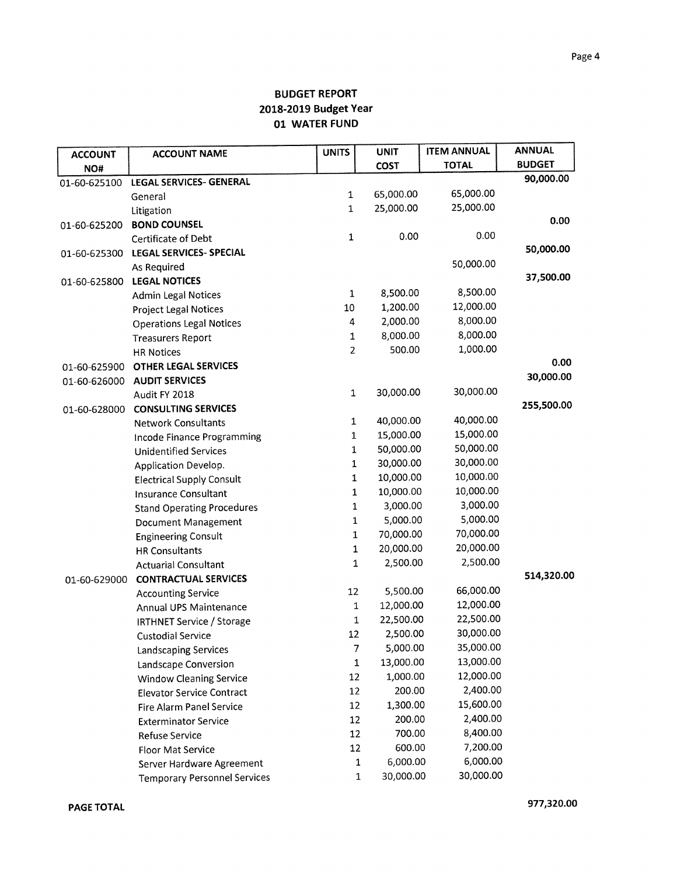| <b>ACCOUNT</b> | <b>ACCOUNT NAME</b>                 | <b>UNITS</b>   | <b>UNIT</b>        | <b>ITEM ANNUAL</b>     | <b>ANNUAL</b> |
|----------------|-------------------------------------|----------------|--------------------|------------------------|---------------|
| NO#            |                                     |                | <b>COST</b>        | <b>TOTAL</b>           | <b>BUDGET</b> |
| 01-60-625100   | LEGAL SERVICES- GENERAL             |                |                    |                        | 90,000.00     |
|                | General                             | 1              | 65,000.00          | 65,000.00              |               |
|                | Litigation                          | 1              | 25,000.00          | 25,000.00              |               |
| 01-60-625200   | <b>BOND COUNSEL</b>                 |                |                    |                        | 0.00          |
|                | Certificate of Debt                 | 1              | 0.00               | 0.00                   |               |
| 01-60-625300   | <b>LEGAL SERVICES- SPECIAL</b>      |                |                    |                        | 50,000.00     |
|                | As Required                         |                |                    | 50,000.00              |               |
| 01-60-625800   | <b>LEGAL NOTICES</b>                |                |                    |                        | 37,500.00     |
|                | <b>Admin Legal Notices</b>          | $\mathbf{1}$   | 8,500.00           | 8,500.00               |               |
|                | <b>Project Legal Notices</b>        | $10\,$         | 1,200.00           | 12,000.00              |               |
|                | <b>Operations Legal Notices</b>     | 4              | 2,000.00           | 8,000.00               |               |
|                | <b>Treasurers Report</b>            | 1              | 8,000.00           | 8,000.00               |               |
|                | <b>HR Notices</b>                   | $\overline{2}$ | 500.00             | 1,000.00               |               |
| 01-60-625900   | <b>OTHER LEGAL SERVICES</b>         |                |                    |                        | 0.00          |
| 01-60-626000   | <b>AUDIT SERVICES</b>               |                |                    |                        | 30,000.00     |
|                | Audit FY 2018                       | $\mathbf 1$    | 30,000.00          | 30,000.00              |               |
| 01-60-628000   | <b>CONSULTING SERVICES</b>          |                |                    |                        | 255,500.00    |
|                | <b>Network Consultants</b>          | $\mathbf{1}$   | 40,000.00          | 40,000.00              |               |
|                | Incode Finance Programming          | 1              | 15,000.00          | 15,000.00              |               |
|                | <b>Unidentified Services</b>        | 1              | 50,000.00          | 50,000.00              |               |
|                | Application Develop.                | 1              | 30,000.00          | 30,000.00              |               |
|                | <b>Electrical Supply Consult</b>    | 1              | 10,000.00          | 10,000.00              |               |
|                | <b>Insurance Consultant</b>         | 1              | 10,000.00          | 10,000.00              |               |
|                | <b>Stand Operating Procedures</b>   | 1              | 3,000.00           | 3,000.00               |               |
|                | Document Management                 | $\mathbf 1$    | 5,000.00           | 5,000.00               |               |
|                | <b>Engineering Consult</b>          | $\mathbf{1}$   | 70,000.00          | 70,000.00              |               |
|                | <b>HR Consultants</b>               | 1              | 20,000.00          | 20,000.00              |               |
|                | <b>Actuarial Consultant</b>         | $\mathbf{1}$   | 2,500.00           | 2,500.00               |               |
| 01-60-629000   | <b>CONTRACTUAL SERVICES</b>         |                |                    |                        | 514,320.00    |
|                | <b>Accounting Service</b>           | 12             | 5,500.00           | 66,000.00              |               |
|                | Annual UPS Maintenance              | 1              | 12,000.00          | 12,000.00              |               |
|                | <b>IRTHNET Service / Storage</b>    | 1              | 22,500.00          | 22,500.00<br>30,000.00 |               |
|                | <b>Custodial Service</b>            | 12             | 2,500.00           |                        |               |
|                | <b>Landscaping Services</b>         | $\overline{7}$ | 5,000.00           | 35,000.00              |               |
|                | Landscape Conversion                | $\mathbf{1}$   | 13,000.00          | 13,000.00              |               |
|                | <b>Window Cleaning Service</b>      | 12             | 1,000.00           | 12,000.00<br>2,400.00  |               |
|                | <b>Elevator Service Contract</b>    | 12             | 200.00             |                        |               |
|                | <b>Fire Alarm Panel Service</b>     | 12             | 1,300.00           | 15,600.00<br>2,400.00  |               |
|                | <b>Exterminator Service</b>         | 12             | 200.00             |                        |               |
|                | Refuse Service                      | 12             | 700.00             | 8,400.00               |               |
|                | <b>Floor Mat Service</b>            | 12             | 600.00<br>6,000.00 | 7,200.00<br>6,000.00   |               |
|                | Server Hardware Agreement           | $\mathbf 1$    | 30,000.00          | 30,000.00              |               |
|                | <b>Temporary Personnel Services</b> | $\,1$          |                    |                        |               |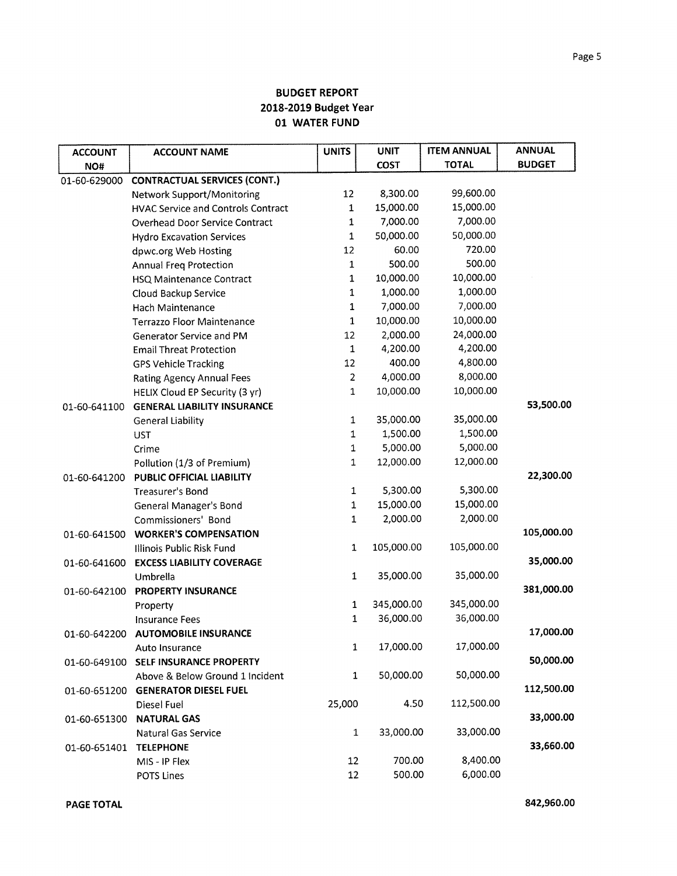| <b>ACCOUNT</b> | <b>ACCOUNT NAME</b>                       | <b>UNITS</b>   | <b>UNIT</b> | <b>ITEM ANNUAL</b> | <b>ANNUAL</b> |
|----------------|-------------------------------------------|----------------|-------------|--------------------|---------------|
| NO#            |                                           |                | <b>COST</b> | <b>TOTAL</b>       | <b>BUDGET</b> |
| 01-60-629000   | <b>CONTRACTUAL SERVICES (CONT.)</b>       |                |             |                    |               |
|                | <b>Network Support/Monitoring</b>         | 12             | 8,300.00    | 99,600.00          |               |
|                | <b>HVAC Service and Controls Contract</b> | $\mathbf 1$    | 15,000.00   | 15,000.00          |               |
|                | <b>Overhead Door Service Contract</b>     | $\mathbf{1}$   | 7,000.00    | 7,000.00           |               |
|                | <b>Hydro Excavation Services</b>          | $\mathbf 1$    | 50,000.00   | 50,000.00          |               |
|                | dpwc.org Web Hosting                      | 12             | 60.00       | 720.00             |               |
|                | <b>Annual Freg Protection</b>             | $\mathbf 1$    | 500.00      | 500.00             |               |
|                | HSQ Maintenance Contract                  | $\mathbf 1$    | 10,000.00   | 10,000.00          |               |
|                | Cloud Backup Service                      | 1              | 1,000.00    | 1,000.00           |               |
|                | Hach Maintenance                          | $\mathbf 1$    | 7,000.00    | 7,000.00           |               |
|                | <b>Terrazzo Floor Maintenance</b>         | $\mathbf 1$    | 10,000.00   | 10,000.00          |               |
|                | Generator Service and PM                  | 12             | 2,000.00    | 24,000.00          |               |
|                | <b>Email Threat Protection</b>            | $\mathbf{1}$   | 4,200.00    | 4,200.00           |               |
|                | <b>GPS Vehicle Tracking</b>               | 12             | 400.00      | 4,800.00           |               |
|                | <b>Rating Agency Annual Fees</b>          | $\overline{2}$ | 4,000.00    | 8,000.00           |               |
|                | HELIX Cloud EP Security (3 yr)            | 1              | 10,000.00   | 10,000.00          |               |
| 01-60-641100   | <b>GENERAL LIABILITY INSURANCE</b>        |                |             |                    | 53,500.00     |
|                | <b>General Liability</b>                  | $\mathbf{1}$   | 35,000.00   | 35,000.00          |               |
|                | <b>UST</b>                                | $\mathbf 1$    | 1,500.00    | 1,500.00           |               |
|                | Crime                                     | $\mathbf 1$    | 5,000.00    | 5,000.00           |               |
|                | Pollution (1/3 of Premium)                | $\mathbf{1}$   | 12,000.00   | 12,000.00          |               |
| 01-60-641200   | PUBLIC OFFICIAL LIABILITY                 |                |             |                    | 22,300.00     |
|                | Treasurer's Bond                          | $\mathbf{1}$   | 5,300.00    | 5,300.00           |               |
|                | <b>General Manager's Bond</b>             | $\mathbf 1$    | 15,000.00   | 15,000.00          |               |
|                | Commissioners' Bond                       | $\mathbf 1$    | 2,000.00    | 2,000.00           |               |
| 01-60-641500   | <b>WORKER'S COMPENSATION</b>              |                |             |                    | 105,000.00    |
|                | Illinois Public Risk Fund                 | $\mathbf{1}$   | 105,000.00  | 105,000.00         |               |
| 01-60-641600   | <b>EXCESS LIABILITY COVERAGE</b>          |                |             |                    | 35,000.00     |
|                | Umbrella                                  | 1              | 35,000.00   | 35,000.00          |               |
| 01-60-642100   | <b>PROPERTY INSURANCE</b>                 |                |             |                    | 381,000.00    |
|                | Property                                  | 1              | 345,000.00  | 345,000.00         |               |
|                | <b>Insurance Fees</b>                     | 1              | 36,000.00   | 36,000.00          |               |
| 01-60-642200   | <b>AUTOMOBILE INSURANCE</b>               |                |             |                    | 17,000.00     |
|                | Auto Insurance                            | $\mathbf{1}$   | 17,000.00   | 17,000.00          |               |
| 01-60-649100   | SELF INSURANCE PROPERTY                   |                |             |                    | 50,000.00     |
|                | Above & Below Ground 1 Incident           | 1              | 50,000.00   | 50,000.00          |               |
| 01-60-651200   | <b>GENERATOR DIESEL FUEL</b>              |                |             |                    | 112,500.00    |
|                | Diesel Fuel                               | 25,000         | 4.50        | 112,500.00         |               |
| 01-60-651300   | <b>NATURAL GAS</b>                        |                |             |                    | 33,000.00     |
|                | <b>Natural Gas Service</b>                | $\mathbf{1}$   | 33,000.00   | 33,000.00          |               |
| 01-60-651401   | <b>TELEPHONE</b>                          |                |             |                    | 33,660.00     |
|                | MIS - IP Flex                             | 12             | 700.00      | 8,400.00           |               |
|                | POTS Lines                                | 12             | 500.00      | 6,000.00           |               |

**PAGE TOTAL 842,960.00**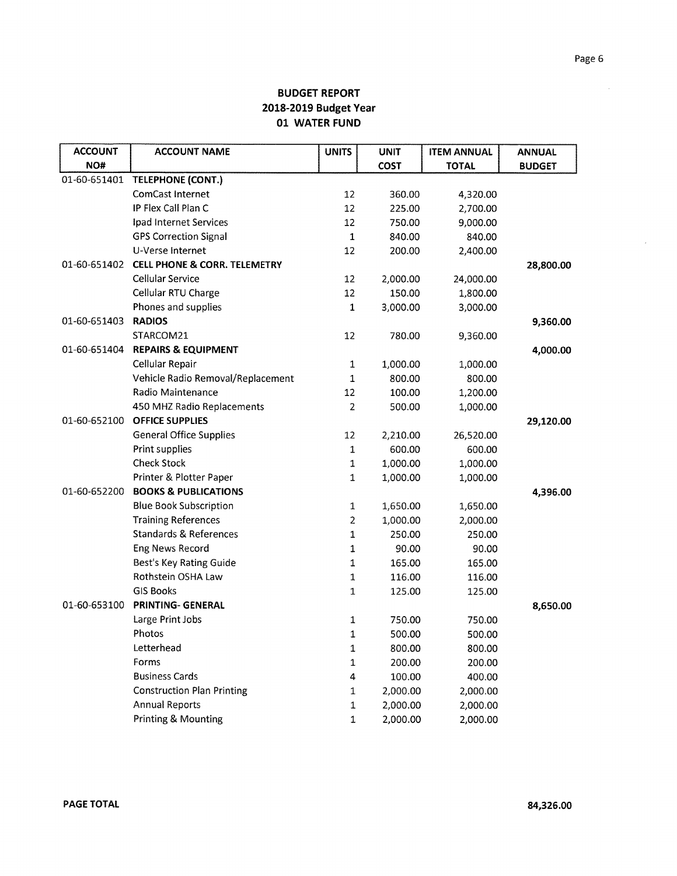| <b>ACCOUNT</b> | <b>ACCOUNT NAME</b>                     | <b>UNITS</b>   | <b>UNIT</b> | <b>ITEM ANNUAL</b> | <b>ANNUAL</b> |
|----------------|-----------------------------------------|----------------|-------------|--------------------|---------------|
| NO#            |                                         |                | <b>COST</b> | <b>TOTAL</b>       | <b>BUDGET</b> |
| 01-60-651401   | <b>TELEPHONE (CONT.)</b>                |                |             |                    |               |
|                | <b>ComCast Internet</b>                 | 12             | 360.00      | 4,320.00           |               |
|                | IP Flex Call Plan C                     | 12             | 225.00      | 2,700.00           |               |
|                | Ipad Internet Services                  | 12             | 750.00      | 9,000.00           |               |
|                | <b>GPS Correction Signal</b>            | $\mathbf{1}$   | 840.00      | 840.00             |               |
|                | U-Verse Internet                        | 12             | 200.00      | 2,400.00           |               |
| 01-60-651402   | <b>CELL PHONE &amp; CORR. TELEMETRY</b> |                |             |                    | 28,800.00     |
|                | Cellular Service                        | 12             | 2,000.00    | 24,000.00          |               |
|                | Cellular RTU Charge                     | 12             | 150.00      | 1,800.00           |               |
|                | Phones and supplies                     | 1              | 3,000.00    | 3,000.00           |               |
| 01-60-651403   | <b>RADIOS</b>                           |                |             |                    | 9,360.00      |
|                | STARCOM21                               | 12             | 780.00      | 9,360.00           |               |
| 01-60-651404   | <b>REPAIRS &amp; EQUIPMENT</b>          |                |             |                    | 4,000.00      |
|                | Cellular Repair                         | $\mathbf{1}$   | 1,000.00    | 1,000.00           |               |
|                | Vehicle Radio Removal/Replacement       | 1              | 800.00      | 800.00             |               |
|                | Radio Maintenance                       | 12             | 100.00      | 1,200.00           |               |
|                | 450 MHZ Radio Replacements              | $\overline{2}$ | 500.00      | 1,000.00           |               |
| 01-60-652100   | <b>OFFICE SUPPLIES</b>                  |                |             |                    | 29,120.00     |
|                | <b>General Office Supplies</b>          | 12             | 2,210.00    | 26,520.00          |               |
|                | Print supplies                          | 1              | 600.00      | 600.00             |               |
|                | <b>Check Stock</b>                      | 1              | 1,000.00    | 1,000.00           |               |
|                | Printer & Plotter Paper                 | 1              | 1,000.00    | 1,000.00           |               |
| 01-60-652200   | <b>BOOKS &amp; PUBLICATIONS</b>         |                |             |                    | 4,396.00      |
|                | <b>Blue Book Subscription</b>           | 1              | 1,650.00    | 1,650.00           |               |
|                | <b>Training References</b>              | $\overline{c}$ | 1,000.00    | 2,000.00           |               |
|                | <b>Standards &amp; References</b>       | 1              | 250.00      | 250.00             |               |
|                | Eng News Record                         | 1              | 90.00       | 90.00              |               |
|                | Best's Key Rating Guide                 | $\mathbf{1}$   | 165.00      | 165.00             |               |
|                | Rothstein OSHA Law                      | 1              | 116.00      | 116.00             |               |
|                | <b>GIS Books</b>                        | 1              | 125.00      | 125.00             |               |
| 01-60-653100   | <b>PRINTING- GENERAL</b>                |                |             |                    | 8,650.00      |
|                | Large Print Jobs                        | 1              | 750.00      | 750.00             |               |
|                | Photos                                  | $\mathbf{1}$   | 500.00      | 500.00             |               |
|                | Letterhead                              | 1              | 800.00      | 800.00             |               |
|                | Forms                                   | $\mathbf 1$    | 200.00      | 200.00             |               |
|                | <b>Business Cards</b>                   | 4              | 100.00      | 400.00             |               |
|                | <b>Construction Plan Printing</b>       | 1              | 2,000.00    | 2,000.00           |               |
|                | <b>Annual Reports</b>                   | 1              | 2,000.00    | 2,000.00           |               |
|                | Printing & Mounting                     | 1              | 2,000.00    | 2,000.00           |               |

 $\sim 10^{11}$  km

 $\hat{\boldsymbol{\epsilon}}$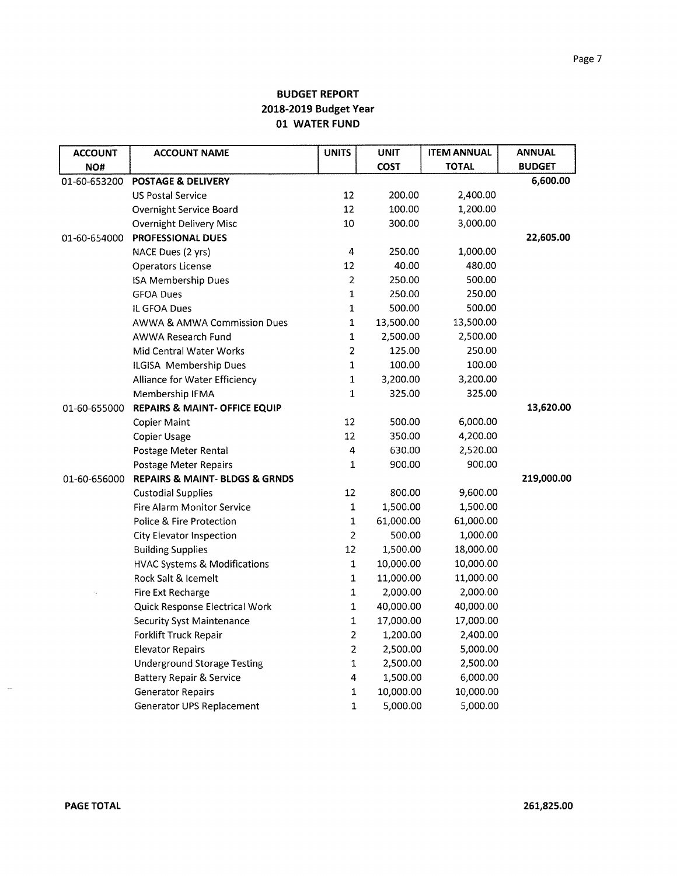| <b>ACCOUNT</b> | <b>ACCOUNT NAME</b>                           | <b>UNITS</b>   | <b>UNIT</b> | <b>ITEM ANNUAL</b> | <b>ANNUAL</b> |
|----------------|-----------------------------------------------|----------------|-------------|--------------------|---------------|
| NO#            |                                               |                | <b>COST</b> | <b>TOTAL</b>       | <b>BUDGET</b> |
| 01-60-653200   | <b>POSTAGE &amp; DELIVERY</b>                 |                |             |                    | 6,600.00      |
|                | <b>US Postal Service</b>                      | 12             | 200.00      | 2,400.00           |               |
|                | Overnight Service Board                       | 12             | 100.00      | 1,200.00           |               |
|                | Overnight Delivery Misc                       | 10             | 300.00      | 3,000.00           |               |
| 01-60-654000   | <b>PROFESSIONAL DUES</b>                      |                |             |                    | 22,605.00     |
|                | NACE Dues (2 yrs)                             | 4              | 250.00      | 1,000.00           |               |
|                | Operators License                             | 12             | 40.00       | 480.00             |               |
|                | <b>ISA Membership Dues</b>                    | $\overline{2}$ | 250.00      | 500.00             |               |
|                | <b>GFOA Dues</b>                              | $\mathbf 1$    | 250.00      | 250.00             |               |
|                | IL GFOA Dues                                  | 1              | 500.00      | 500.00             |               |
|                | <b>AWWA &amp; AMWA Commission Dues</b>        | 1              | 13,500.00   | 13,500.00          |               |
|                | AWWA Research Fund                            | $\mathbf 1$    | 2,500.00    | 2,500.00           |               |
|                | Mid Central Water Works                       | $\overline{2}$ | 125.00      | 250.00             |               |
|                | ILGISA Membership Dues                        | $\mathbf{1}$   | 100.00      | 100.00             |               |
|                | Alliance for Water Efficiency                 | $\mathbf 1$    | 3,200.00    | 3,200.00           |               |
|                | Membership IFMA                               | $\mathbf{1}$   | 325.00      | 325.00             |               |
| 01-60-655000   | REPAIRS & MAINT- OFFICE EQUIP                 |                |             |                    | 13,620.00     |
|                | <b>Copier Maint</b>                           | 12             | 500.00      | 6,000.00           |               |
|                | Copier Usage                                  | 12             | 350.00      | 4,200.00           |               |
|                | Postage Meter Rental                          | 4              | 630.00      | 2,520.00           |               |
|                | Postage Meter Repairs                         | $\mathbf{1}$   | 900.00      | 900.00             |               |
| 01-60-656000   | <b>REPAIRS &amp; MAINT- BLDGS &amp; GRNDS</b> |                |             |                    | 219,000.00    |
|                | <b>Custodial Supplies</b>                     | 12             | 800.00      | 9,600.00           |               |
|                | <b>Fire Alarm Monitor Service</b>             | $\mathbf 1$    | 1,500.00    | 1,500.00           |               |
|                | Police & Fire Protection                      | $\mathbf 1$    | 61,000.00   | 61,000.00          |               |
|                | City Elevator Inspection                      | $\overline{2}$ | 500.00      | 1,000.00           |               |
|                | <b>Building Supplies</b>                      | 12             | 1,500.00    | 18,000.00          |               |
|                | <b>HVAC Systems &amp; Modifications</b>       | $\mathbf 1$    | 10,000.00   | 10,000.00          |               |
|                | Rock Salt & Icemelt                           | $\mathbf 1$    | 11,000.00   | 11,000.00          |               |
|                | Fire Ext Recharge                             | $\mathbf{1}$   | 2,000.00    | 2,000.00           |               |
|                | Quick Response Electrical Work                | ${\bf 1}$      | 40,000.00   | 40,000.00          |               |
|                | <b>Security Syst Maintenance</b>              | $\mathbf 1$    | 17,000.00   | 17,000.00          |               |
|                | Forklift Truck Repair                         | $\overline{2}$ | 1,200.00    | 2,400.00           |               |
|                | <b>Elevator Repairs</b>                       | $\overline{c}$ | 2,500.00    | 5,000.00           |               |
|                | <b>Underground Storage Testing</b>            | $\mathbf 1$    | 2,500.00    | 2,500.00           |               |
|                | <b>Battery Repair &amp; Service</b>           | 4              | 1,500.00    | 6,000.00           |               |
|                | <b>Generator Repairs</b>                      | 1              | 10,000.00   | 10,000.00          |               |
|                | Generator UPS Replacement                     | 1              | 5,000.00    | 5,000.00           |               |

 $\overline{\phantom{a}}$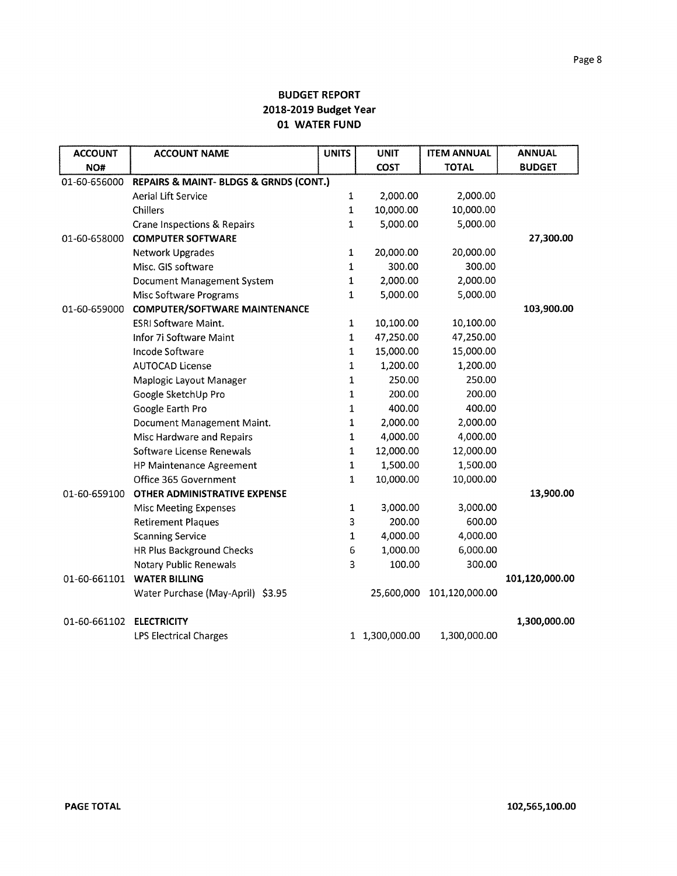| <b>ACCOUNT</b> | <b>ACCOUNT NAME</b>                    | <b>UNITS</b> | <b>UNIT</b>    | <b>ITEM ANNUAL</b> | <b>ANNUAL</b>  |
|----------------|----------------------------------------|--------------|----------------|--------------------|----------------|
| NO#            |                                        |              | <b>COST</b>    | <b>TOTAL</b>       | <b>BUDGET</b>  |
| 01-60-656000   | REPAIRS & MAINT- BLDGS & GRNDS (CONT.) |              |                |                    |                |
|                | <b>Aerial Lift Service</b>             | $\mathbf{1}$ | 2,000.00       | 2,000.00           |                |
|                | Chillers                               | $\mathbf{1}$ | 10,000.00      | 10,000.00          |                |
|                | Crane Inspections & Repairs            | $\mathbf 1$  | 5,000.00       | 5,000.00           |                |
| 01-60-658000   | <b>COMPUTER SOFTWARE</b>               |              |                |                    | 27,300.00      |
|                | <b>Network Upgrades</b>                | $\mathbf{1}$ | 20,000.00      | 20,000.00          |                |
|                | Misc. GIS software                     | $\mathbf{1}$ | 300.00         | 300.00             |                |
|                | Document Management System             | $\mathbf{1}$ | 2,000.00       | 2,000.00           |                |
|                | Misc Software Programs                 | $\mathbf{1}$ | 5,000.00       | 5,000.00           |                |
| 01-60-659000   | <b>COMPUTER/SOFTWARE MAINTENANCE</b>   |              |                |                    | 103,900.00     |
|                | <b>ESRI Software Maint.</b>            | $\mathbf 1$  | 10,100.00      | 10,100.00          |                |
|                | Infor 7i Software Maint                | $\mathbf 1$  | 47,250.00      | 47,250.00          |                |
|                | Incode Software                        | $\mathbf{1}$ | 15,000.00      | 15,000.00          |                |
|                | <b>AUTOCAD License</b>                 | 1            | 1,200.00       | 1,200.00           |                |
|                | Maplogic Layout Manager                | 1            | 250.00         | 250.00             |                |
|                | Google SketchUp Pro                    | 1            | 200.00         | 200.00             |                |
|                | Google Earth Pro                       | 1            | 400.00         | 400.00             |                |
|                | Document Management Maint.             | 1            | 2,000.00       | 2,000.00           |                |
|                | Misc Hardware and Repairs              | $\mathbf 1$  | 4,000.00       | 4,000.00           |                |
|                | Software License Renewals              | 1            | 12,000.00      | 12,000.00          |                |
|                | HP Maintenance Agreement               | 1            | 1,500.00       | 1,500.00           |                |
|                | Office 365 Government                  | $\mathbf{1}$ | 10,000.00      | 10,000.00          |                |
| 01-60-659100   | OTHER ADMINISTRATIVE EXPENSE           |              |                |                    | 13,900.00      |
|                | <b>Misc Meeting Expenses</b>           | 1            | 3,000.00       | 3,000.00           |                |
|                | <b>Retirement Plaques</b>              | 3            | 200.00         | 600.00             |                |
|                | <b>Scanning Service</b>                | 1            | 4,000.00       | 4,000.00           |                |
|                | HR Plus Background Checks              | 6            | 1,000.00       | 6,000.00           |                |
|                | <b>Notary Public Renewals</b>          | 3            | 100.00         | 300.00             |                |
| 01-60-661101   | <b>WATER BILLING</b>                   |              |                |                    | 101,120,000.00 |
|                | Water Purchase (May-April) \$3.95      |              | 25,600,000     | 101,120,000.00     |                |
| 01-60-661102   | <b>ELECTRICITY</b>                     |              |                |                    | 1,300,000.00   |
|                | <b>LPS Electrical Charges</b>          |              | 1 1,300,000.00 | 1,300,000.00       |                |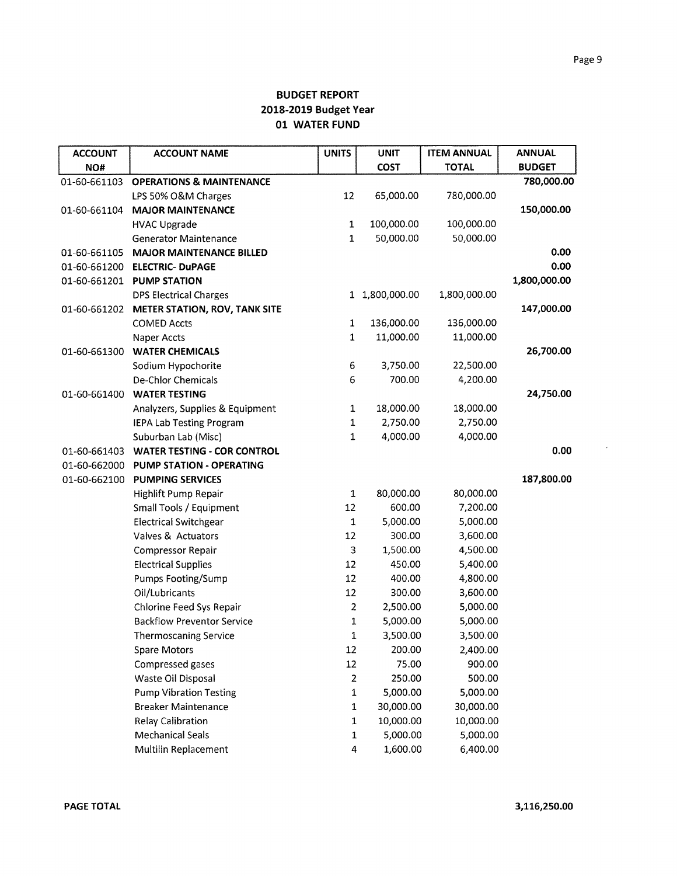| <b>ACCOUNT</b> | <b>ACCOUNT NAME</b>                 | <b>UNITS</b>   | <b>UNIT</b>    | <b>ITEM ANNUAL</b> | <b>ANNUAL</b> |
|----------------|-------------------------------------|----------------|----------------|--------------------|---------------|
| NO#            |                                     |                | COST           | <b>TOTAL</b>       | <b>BUDGET</b> |
| 01-60-661103   | <b>OPERATIONS &amp; MAINTENANCE</b> |                |                |                    | 780,000.00    |
|                | LPS 50% O&M Charges                 | 12             | 65,000.00      | 780,000.00         |               |
| 01-60-661104   | <b>MAJOR MAINTENANCE</b>            |                |                |                    | 150,000.00    |
|                | <b>HVAC Upgrade</b>                 | $\mathbf 1$    | 100,000.00     | 100,000.00         |               |
|                | <b>Generator Maintenance</b>        | $\mathbf 1$    | 50,000.00      | 50,000.00          |               |
| 01-60-661105   | <b>MAJOR MAINTENANCE BILLED</b>     |                |                |                    | 0.00          |
| 01-60-661200   | <b>ELECTRIC- DUPAGE</b>             |                |                |                    | 0.00          |
| 01-60-661201   | <b>PUMP STATION</b>                 |                |                |                    | 1,800,000.00  |
|                | <b>DPS Electrical Charges</b>       |                | 1 1,800,000.00 | 1,800,000.00       |               |
| 01-60-661202   | METER STATION, ROV, TANK SITE       |                |                |                    | 147,000.00    |
|                | <b>COMED Accts</b>                  | $\mathbf{1}$   | 136,000.00     | 136,000.00         |               |
|                | Naper Accts                         | $\mathbf 1$    | 11,000.00      | 11,000.00          |               |
| 01-60-661300   | <b>WATER CHEMICALS</b>              |                |                |                    | 26,700.00     |
|                | Sodium Hypochorite                  | 6              | 3,750.00       | 22,500.00          |               |
|                | De-Chlor Chemicals                  | 6              | 700.00         | 4,200.00           |               |
| 01-60-661400   | <b>WATER TESTING</b>                |                |                |                    | 24,750.00     |
|                | Analyzers, Supplies & Equipment     | $\mathbf{1}$   | 18,000.00      | 18,000.00          |               |
|                | <b>IEPA Lab Testing Program</b>     | $\mathbf{1}$   | 2,750.00       | 2,750.00           |               |
|                | Suburban Lab (Misc)                 | 1              | 4,000.00       | 4,000.00           |               |
| 01-60-661403   | <b>WATER TESTING - COR CONTROL</b>  |                |                |                    | 0.00          |
| 01-60-662000   | PUMP STATION - OPERATING            |                |                |                    |               |
| 01-60-662100   | <b>PUMPING SERVICES</b>             |                |                |                    | 187,800.00    |
|                | Highlift Pump Repair                | 1              | 80,000.00      | 80,000.00          |               |
|                | Small Tools / Equipment             | 12             | 600.00         | 7,200.00           |               |
|                | <b>Electrical Switchgear</b>        | 1              | 5,000.00       | 5,000.00           |               |
|                | Valves & Actuators                  | 12             | 300.00         | 3,600.00           |               |
|                | <b>Compressor Repair</b>            | 3              | 1,500.00       | 4,500.00           |               |
|                | <b>Electrical Supplies</b>          | 12             | 450.00         | 5,400.00           |               |
|                | Pumps Footing/Sump                  | 12             | 400.00         | 4,800.00           |               |
|                | Oil/Lubricants                      | 12             | 300.00         | 3,600.00           |               |
|                | Chlorine Feed Sys Repair            | $\overline{2}$ | 2,500.00       | 5,000.00           |               |
|                | <b>Backflow Preventor Service</b>   | 1              | 5,000.00       | 5,000.00           |               |
|                | <b>Thermoscaning Service</b>        | 1              | 3,500.00       | 3,500.00           |               |
|                | Spare Motors                        | 12             | 200.00         | 2,400.00           |               |
|                | Compressed gases                    | 12             | 75.00          | 900.00             |               |
|                | Waste Oil Disposal                  | $\overline{2}$ | 250.00         | 500.00             |               |
|                | <b>Pump Vibration Testing</b>       | $\mathbf 1$    | 5,000.00       | 5,000.00           |               |
|                | <b>Breaker Maintenance</b>          | 1              | 30,000.00      | 30,000.00          |               |
|                | <b>Relay Calibration</b>            | 1              | 10,000.00      | 10,000.00          |               |
|                | <b>Mechanical Seals</b>             | 1              | 5,000.00       | 5,000.00           |               |
|                | Multilin Replacement                | 4              | 1,600.00       | 6,400.00           |               |

 $\epsilon$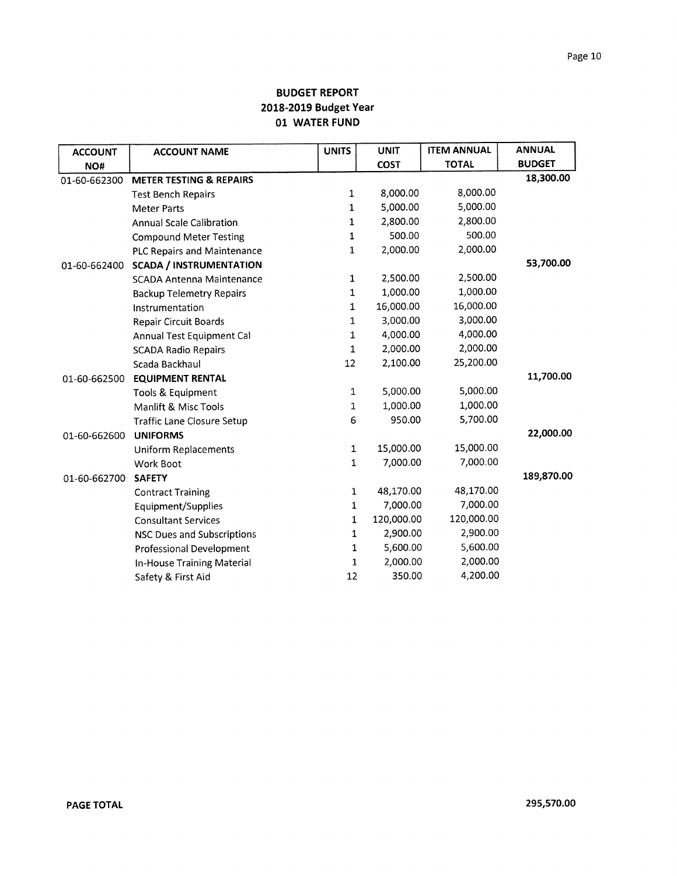| <b>ACCOUNT</b> | <b>ACCOUNT NAME</b>                | <b>UNITS</b> | <b>UNIT</b> | <b>ITEM ANNUAL</b> | <b>ANNUAL</b> |
|----------------|------------------------------------|--------------|-------------|--------------------|---------------|
| NO#            |                                    |              | <b>COST</b> | <b>TOTAL</b>       | <b>BUDGET</b> |
| 01-60-662300   | <b>METER TESTING &amp; REPAIRS</b> |              |             |                    | 18,300.00     |
|                | <b>Test Bench Repairs</b>          | 1            | 8,000.00    | 8,000.00           |               |
|                | <b>Meter Parts</b>                 | 1            | 5,000.00    | 5,000.00           |               |
|                | <b>Annual Scale Calibration</b>    | 1            | 2,800.00    | 2,800.00           |               |
|                | <b>Compound Meter Testing</b>      | $\mathbf 1$  | 500.00      | 500.00             |               |
|                | <b>PLC Repairs and Maintenance</b> | $\mathbf{1}$ | 2,000.00    | 2,000.00           |               |
| 01-60-662400   | <b>SCADA / INSTRUMENTATION</b>     |              |             |                    | 53,700.00     |
|                | <b>SCADA Antenna Maintenance</b>   | $\mathbf{1}$ | 2,500.00    | 2,500.00           |               |
|                | <b>Backup Telemetry Repairs</b>    | $\mathbf 1$  | 1,000.00    | 1,000.00           |               |
|                | Instrumentation                    | $\mathbf{1}$ | 16,000.00   | 16,000.00          |               |
|                | Repair Circuit Boards              | 1            | 3,000.00    | 3,000.00           |               |
|                | Annual Test Equipment Cal          | $\mathbf 1$  | 4,000.00    | 4,000.00           |               |
|                | <b>SCADA Radio Repairs</b>         | $\mathbf{1}$ | 2,000.00    | 2,000.00           |               |
|                | Scada Backhaul                     | 12           | 2,100.00    | 25,200.00          |               |
| 01-60-662500   | <b>EQUIPMENT RENTAL</b>            |              |             |                    | 11,700.00     |
|                | Tools & Equipment                  | 1            | 5,000.00    | 5,000.00           |               |
|                | Manlift & Misc Tools               | 1            | 1,000.00    | 1,000.00           |               |
|                | <b>Traffic Lane Closure Setup</b>  | 6            | 950.00      | 5,700.00           |               |
| 01-60-662600   | <b>UNIFORMS</b>                    |              |             |                    | 22,000.00     |
|                | <b>Uniform Replacements</b>        | $\mathbf{1}$ | 15,000.00   | 15,000.00          |               |
|                | Work Boot                          | 1            | 7,000.00    | 7,000.00           |               |
| 01-60-662700   | <b>SAFETY</b>                      |              |             |                    | 189,870.00    |
|                | <b>Contract Training</b>           | $\mathbf{1}$ | 48,170.00   | 48,170.00          |               |
|                | Equipment/Supplies                 | $\mathbf{1}$ | 7,000.00    | 7,000.00           |               |
|                | <b>Consultant Services</b>         | $\mathbf{1}$ | 120,000.00  | 120,000.00         |               |
|                | <b>NSC Dues and Subscriptions</b>  | 1            | 2,900.00    | 2,900.00           |               |
|                | <b>Professional Development</b>    | 1            | 5,600.00    | 5,600.00           |               |
|                | In-House Training Material         | 1            | 2,000.00    | 2,000.00           |               |
|                | Safety & First Aid                 | 12           | 350.00      | 4,200.00           |               |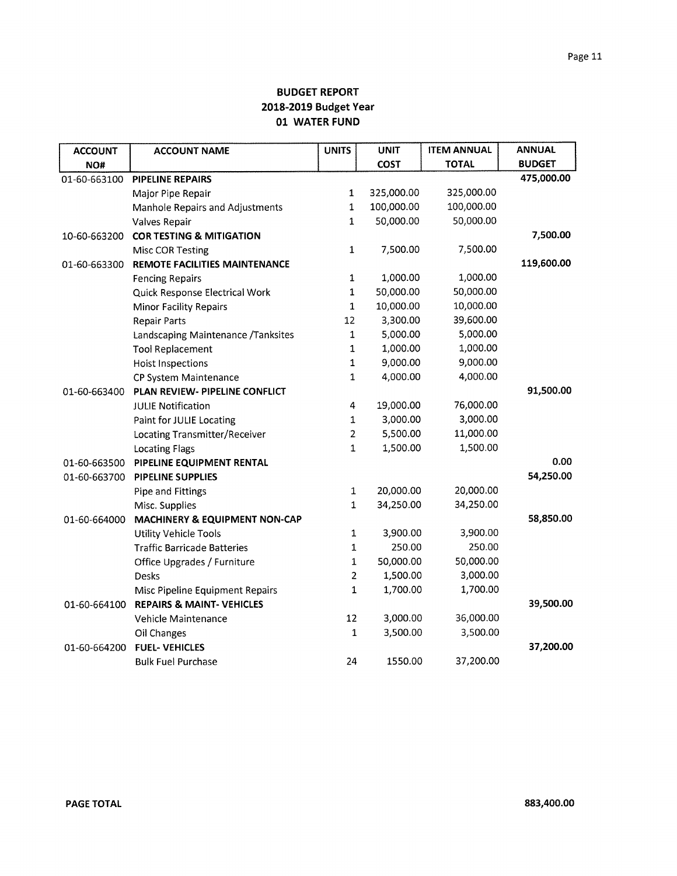| <b>ACCOUNT</b> | <b>ACCOUNT NAME</b>                  | <b>UNITS</b>   | <b>UNIT</b> | <b>ITEM ANNUAL</b> | <b>ANNUAL</b> |
|----------------|--------------------------------------|----------------|-------------|--------------------|---------------|
| NO#            |                                      |                | <b>COST</b> | <b>TOTAL</b>       | <b>BUDGET</b> |
| 01-60-663100   | <b>PIPELINE REPAIRS</b>              |                |             |                    | 475,000.00    |
|                | Major Pipe Repair                    | $\mathbf{1}$   | 325,000.00  | 325,000.00         |               |
|                | Manhole Repairs and Adjustments      | 1              | 100,000.00  | 100,000.00         |               |
|                | Valves Repair                        | $\mathbf{1}$   | 50,000.00   | 50,000.00          |               |
| 10-60-663200   | <b>COR TESTING &amp; MITIGATION</b>  |                |             |                    | 7,500.00      |
|                | <b>Misc COR Testing</b>              | $\mathbf{1}$   | 7,500.00    | 7,500.00           |               |
| 01-60-663300   | REMOTE FACILITIES MAINTENANCE        |                |             |                    | 119,600.00    |
|                | <b>Fencing Repairs</b>               | $\mathbf 1$    | 1,000.00    | 1,000.00           |               |
|                | Quick Response Electrical Work       | $\mathbf{1}$   | 50,000.00   | 50,000.00          |               |
|                | <b>Minor Facility Repairs</b>        | $\mathbf 1$    | 10,000.00   | 10,000.00          |               |
|                | <b>Repair Parts</b>                  | 12             | 3,300.00    | 39,600.00          |               |
|                | Landscaping Maintenance /Tanksites   | $\mathbf 1$    | 5,000.00    | 5,000.00           |               |
|                | <b>Tool Replacement</b>              | $\mathbf 1$    | 1,000.00    | 1,000.00           |               |
|                | <b>Hoist Inspections</b>             | 1              | 9,000.00    | 9,000.00           |               |
|                | CP System Maintenance                | 1              | 4,000.00    | 4,000.00           |               |
| 01-60-663400   | PLAN REVIEW- PIPELINE CONFLICT       |                |             |                    | 91,500.00     |
|                | <b>JULIE Notification</b>            | 4              | 19,000.00   | 76,000.00          |               |
|                | Paint for JULIE Locating             | 1              | 3,000.00    | 3,000.00           |               |
|                | Locating Transmitter/Receiver        | $\overline{2}$ | 5,500.00    | 11,000.00          |               |
|                | <b>Locating Flags</b>                | 1              | 1,500.00    | 1,500.00           |               |
| 01-60-663500   | PIPELINE EQUIPMENT RENTAL            |                |             |                    | 0.00          |
| 01-60-663700   | <b>PIPELINE SUPPLIES</b>             |                |             |                    | 54,250.00     |
|                | Pipe and Fittings                    | 1              | 20,000.00   | 20,000.00          |               |
|                | Misc. Supplies                       | $\mathbf{1}$   | 34,250.00   | 34,250.00          |               |
| 01-60-664000   | MACHINERY & EQUIPMENT NON-CAP        |                |             |                    | 58,850.00     |
|                | <b>Utility Vehicle Tools</b>         | 1              | 3,900.00    | 3,900.00           |               |
|                | <b>Traffic Barricade Batteries</b>   | 1              | 250.00      | 250.00             |               |
|                | Office Upgrades / Furniture          | 1              | 50,000.00   | 50,000.00          |               |
|                | Desks                                | $\overline{2}$ | 1,500.00    | 3,000.00           |               |
|                | Misc Pipeline Equipment Repairs      | $\mathbf 1$    | 1,700.00    | 1,700.00           |               |
| 01-60-664100   | <b>REPAIRS &amp; MAINT- VEHICLES</b> |                |             |                    | 39,500.00     |
|                | Vehicle Maintenance                  | 12             | 3,000.00    | 36,000.00          |               |
|                | Oil Changes                          | $\mathbf{1}$   | 3,500.00    | 3,500.00           |               |
| 01-60-664200   | <b>FUEL-VEHICLES</b>                 |                |             |                    | 37,200.00     |
|                | <b>Bulk Fuel Purchase</b>            | 24             | 1550.00     | 37,200.00          |               |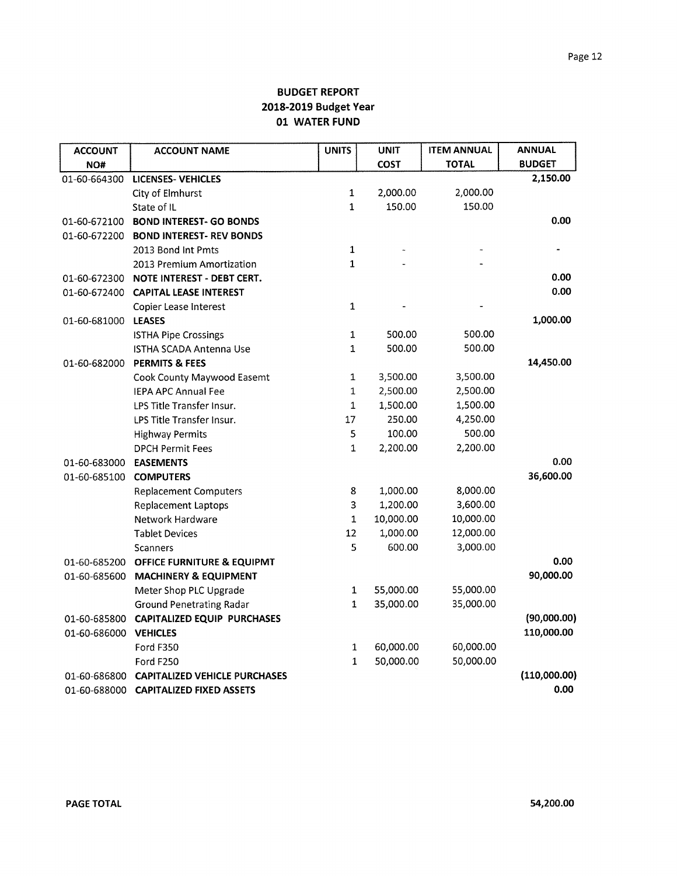| <b>ACCOUNT</b> | <b>ACCOUNT NAME</b>                  | <b>UNITS</b> | <b>UNIT</b> | <b>ITEM ANNUAL</b> | <b>ANNUAL</b> |
|----------------|--------------------------------------|--------------|-------------|--------------------|---------------|
| NO#            |                                      |              | COST        | <b>TOTAL</b>       | <b>BUDGET</b> |
| 01-60-664300   | <b>LICENSES- VEHICLES</b>            |              |             |                    | 2,150.00      |
|                | City of Elmhurst                     | $\mathbf 1$  | 2,000.00    | 2,000.00           |               |
|                | State of IL                          | 1            | 150.00      | 150.00             |               |
| 01-60-672100   | <b>BOND INTEREST- GO BONDS</b>       |              |             |                    | 0.00          |
| 01-60-672200   | <b>BOND INTEREST- REV BONDS</b>      |              |             |                    |               |
|                | 2013 Bond Int Pmts                   | 1            |             |                    |               |
|                | 2013 Premium Amortization            | 1            |             |                    |               |
| 01-60-672300   | <b>NOTE INTEREST - DEBT CERT.</b>    |              |             |                    | 0.00          |
| 01-60-672400   | <b>CAPITAL LEASE INTEREST</b>        |              |             |                    | 0.00          |
|                | Copier Lease Interest                | 1            |             |                    |               |
| 01-60-681000   | <b>LEASES</b>                        |              |             |                    | 1,000.00      |
|                | <b>ISTHA Pipe Crossings</b>          | $\mathbf{1}$ | 500.00      | 500.00             |               |
|                | <b>ISTHA SCADA Antenna Use</b>       | 1            | 500.00      | 500.00             |               |
| 01-60-682000   | <b>PERMITS &amp; FEES</b>            |              |             |                    | 14,450.00     |
|                | Cook County Maywood Easemt           | 1            | 3,500.00    | 3,500.00           |               |
|                | <b>IEPA APC Annual Fee</b>           | $\mathbf 1$  | 2,500.00    | 2,500.00           |               |
|                | LPS Title Transfer Insur.            | $\mathbf 1$  | 1,500.00    | 1,500.00           |               |
|                | LPS Title Transfer Insur.            | 17           | 250.00      | 4,250.00           |               |
|                | <b>Highway Permits</b>               | 5            | 100.00      | 500.00             |               |
|                | <b>DPCH Permit Fees</b>              | $\mathbf{1}$ | 2,200.00    | 2,200.00           |               |
| 01-60-683000   | <b>EASEMENTS</b>                     |              |             |                    | 0.00          |
| 01-60-685100   | <b>COMPUTERS</b>                     |              |             |                    | 36,600.00     |
|                | <b>Replacement Computers</b>         | 8            | 1,000.00    | 8,000.00           |               |
|                | <b>Replacement Laptops</b>           | 3            | 1,200.00    | 3,600.00           |               |
|                | Network Hardware                     | $\mathbf 1$  | 10,000.00   | 10,000.00          |               |
|                | <b>Tablet Devices</b>                | 12           | 1,000.00    | 12,000.00          |               |
|                | Scanners                             | 5            | 600.00      | 3,000.00           |               |
| 01-60-685200   | OFFICE FURNITURE & EQUIPMT           |              |             |                    | 0.00          |
| 01-60-685600   | <b>MACHINERY &amp; EQUIPMENT</b>     |              |             |                    | 90,000.00     |
|                | Meter Shop PLC Upgrade               | $\mathbf 1$  | 55,000.00   | 55,000.00          |               |
|                | <b>Ground Penetrating Radar</b>      | $\mathbf{1}$ | 35,000.00   | 35,000.00          |               |
| 01-60-685800   | <b>CAPITALIZED EQUIP PURCHASES</b>   |              |             |                    | (90,000.00)   |
| 01-60-686000   | <b>VEHICLES</b>                      |              |             |                    | 110,000.00    |
|                | <b>Ford F350</b>                     | 1            | 60,000.00   | 60,000.00          |               |
|                | Ford F250                            | 1            | 50,000.00   | 50,000.00          |               |
| 01-60-686800   | <b>CAPITALIZED VEHICLE PURCHASES</b> |              |             |                    | (110,000.00)  |
| 01-60-688000   | <b>CAPITALIZED FIXED ASSETS</b>      |              |             |                    | 0.00          |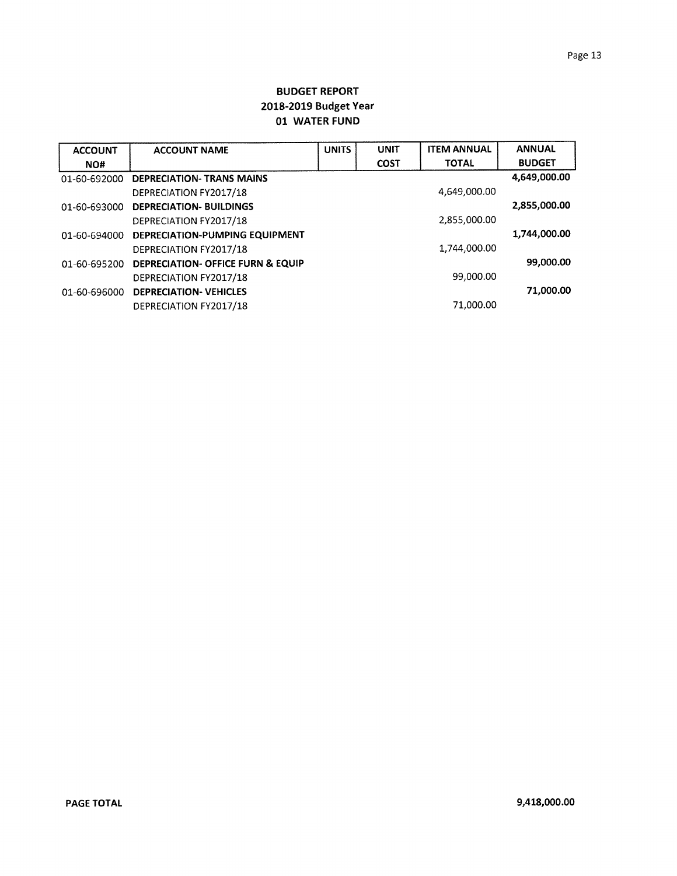| <b>ACCOUNT</b> | <b>ACCOUNT NAME</b>               | <b>UNITS</b> | <b>UNIT</b> | <b>ITEM ANNUAL</b> | <b>ANNUAL</b> |
|----------------|-----------------------------------|--------------|-------------|--------------------|---------------|
| NO#            |                                   |              | <b>COST</b> | <b>TOTAL</b>       | <b>BUDGET</b> |
| 01-60-692000   | <b>DEPRECIATION- TRANS MAINS</b>  |              |             |                    | 4,649,000.00  |
|                | DEPRECIATION FY2017/18            |              |             | 4,649,000.00       |               |
| 01-60-693000   | <b>DEPRECIATION- BUILDINGS</b>    |              |             |                    | 2,855,000.00  |
|                | DEPRECIATION FY2017/18            |              |             | 2,855,000.00       |               |
| 01-60-694000   | DEPRECIATION-PUMPING EQUIPMENT    |              |             |                    | 1,744,000.00  |
|                | DEPRECIATION FY2017/18            |              |             | 1.744.000.00       |               |
| 01-60-695200   | DEPRECIATION- OFFICE FURN & EQUIP |              |             |                    | 99,000.00     |
|                | DEPRECIATION FY2017/18            |              |             | 99,000.00          |               |
| 01-60-696000   | <b>DEPRECIATION- VEHICLES</b>     |              |             |                    | 71,000.00     |
|                | DEPRECIATION FY2017/18            |              |             | 71,000.00          |               |